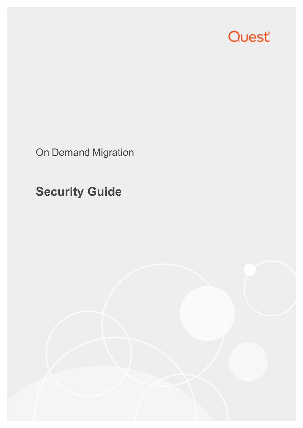

On Demand Migration

## **Security Guide**

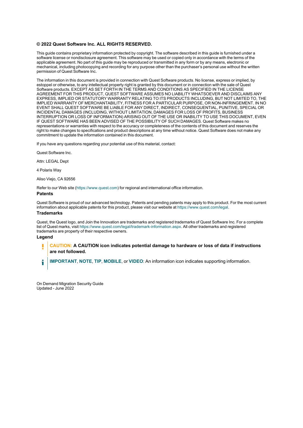#### **© 2022 Quest Software Inc. ALL RIGHTS RESERVED.**

This guide contains proprietary information protected by copyright. The software described in this guide is furnished under a software license or nondisclosure agreement. This software may be used or copied only in accordance with the terms of the applicable agreement. No part of this guide may be reproduced or transmitted in any form or by any means, electronic or mechanical, including photocopying and recording for any purpose other than the purchaser's personal use without the written permission of Quest Software Inc.

The information in this document is provided in connection with Quest Software products. No license, express or implied, by estoppel or otherwise, to any intellectual property right is granted by this document or in connection with the sale of Quest Software products. EXCEPT AS SET FORTH IN THE TERMS AND CONDITIONS AS SPECIFIED IN THE LICENSE AGREEMENT FOR THIS PRODUCT, QUEST SOFTWARE ASSUMES NO LIABILITY WHATSOEVER AND DISCLAIMS ANY EXPRESS, IMPLIED OR STATUTORY WARRANTY RELATING TO ITS PRODUCTS INCLUDING, BUT NOT LIMITED TO, THE IMPLIED WARRANTY OF MERCHANTABILITY, FITNESS FOR A PARTICULAR PURPOSE, OR NON-INFRINGEMENT. IN NO EVENT SHALL QUEST SOFTWARE BE LIABLE FOR ANY DIRECT, INDIRECT, CONSEQUENTIAL, PUNITIVE, SPECIAL OR INCIDENTAL DAMAGES (INCLUDING, WITHOUT LIMITATION, DAMAGES FOR LOSS OF PROFITS, BUSINESS INTERRUPTION OR LOSS OF INFORMATION) ARISING OUT OF THE USE OR INABILITY TO USE THIS DOCUMENT, EVEN IF QUEST SOFTWARE HAS BEEN ADVISED OF THE POSSIBILITY OF SUCH DAMAGES. Quest Software makes no representations or warranties with respect to the accuracy or completeness of the contents of this document and reserves the right to make changes to specifications and product descriptions at any time without notice. Quest Software does not make any commitment to update the information contained in this document.

If you have any questions regarding your potential use of this material, contact:

Quest Software Inc.

Attn: LEGAL Dept

4 Polaris Way

Aliso Viejo, CA 92656

Refer to our Web site [\(https://www.quest.com\)](https://www.quest.com/) for regional and international office information.

#### **Patents**

Quest Software is proud of our advanced technology. Patents and pending patents may apply to this product. For the most current information about applicable patents for this product, please visit our website at <https://www.quest.com/legal>.

#### **Trademarks**

Quest, the Quest logo, and Join the Innovation are trademarks and registered trademarks of Quest Software Inc. For a complete list of Quest marks, visit [https://www.quest.com/legal/trademark-information.aspx.](https://www.quest.com/legal/trademark-information.aspx) All other trademarks and registered trademarks are property of their respective owners.

#### **Legend**

П **CAUTION: A CAUTION icon indicates potential damage to hardware or loss of data if instructions are not followed.**

**IMPORTANT**, **NOTE**, **TIP**, **MOBILE**, or **VIDEO**: An information icon indicates supporting information. i

On Demand Migration Security Guide Updated - June 2022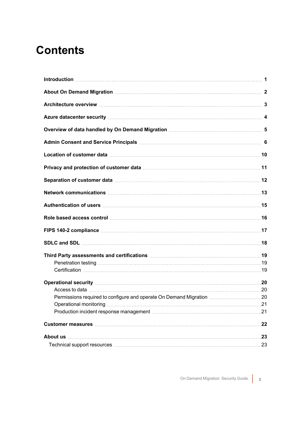#### **Contents**

| Azure datacenter security manufactured and all the data control of the datacenter security manufactured and the                                                                                                                |    |
|--------------------------------------------------------------------------------------------------------------------------------------------------------------------------------------------------------------------------------|----|
| Overview of data handled by On Demand Migration <b>Microconforce and Strategies</b> 5                                                                                                                                          |    |
|                                                                                                                                                                                                                                |    |
|                                                                                                                                                                                                                                |    |
|                                                                                                                                                                                                                                |    |
|                                                                                                                                                                                                                                |    |
|                                                                                                                                                                                                                                |    |
| Authentication of users measurements are all the state of the state of the state of the state of the state of the state of the state of the state of the state of the state of the state of the state of the state of the stat |    |
| Role based access control manufactured and relationship and the Role based access control manufactured and the                                                                                                                 |    |
|                                                                                                                                                                                                                                |    |
|                                                                                                                                                                                                                                |    |
|                                                                                                                                                                                                                                |    |
|                                                                                                                                                                                                                                |    |
|                                                                                                                                                                                                                                |    |
|                                                                                                                                                                                                                                |    |
|                                                                                                                                                                                                                                |    |
|                                                                                                                                                                                                                                |    |
|                                                                                                                                                                                                                                |    |
| Production incident response management manuscription and contain an extraction incident response management ma                                                                                                                |    |
|                                                                                                                                                                                                                                | 22 |
|                                                                                                                                                                                                                                |    |
| Technical support resources measures the control of the control of the control of the control of the control of the control of the control of the control of the control of the control of the control of the control of the c |    |
|                                                                                                                                                                                                                                |    |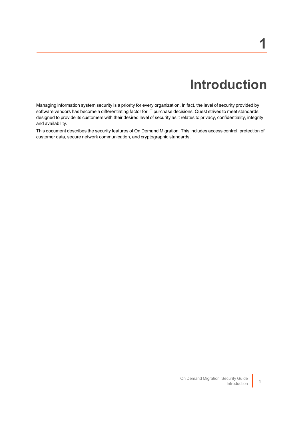## **Introduction**

<span id="page-3-0"></span>Managing information system security is a priority for every organization. In fact, the level of security provided by software vendors has become a differentiating factor for IT purchase decisions. Quest strives to meet standards designed to provide its customers with their desired level of security as it relates to privacy, confidentiality, integrity and availability.

This document describes the security features of On Demand Migration. This includes access control, protection of customer data, secure network communication, and cryptographic standards.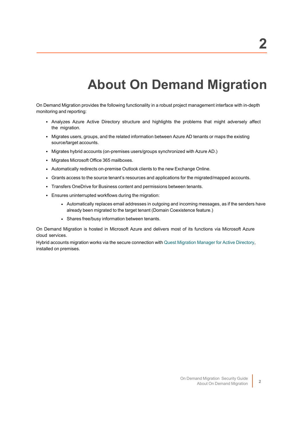## **About On Demand Migration**

<span id="page-4-0"></span>On Demand Migration provides the following functionality in a robust project management interface with in-depth monitoring and reporting:

- Analyzes Azure Active Directory structure and highlights the problems that might adversely affect the migration.
- Migrates users, groups, and the related information between Azure AD tenants or maps the existing source/target accounts.
- Migrates hybrid accounts (on-premises users/groups synchronized with Azure AD.)
- Migrates Microsoft Office 365 mailboxes.
- Automatically redirects on-premise Outlook clients to the new Exchange Online.
- Grants access to the source tenant's resources and applications for the migrated/mapped accounts.
- Transfers OneDrive for Business content and permissions between tenants.
- Ensures uninterrupted workflows during the migration:
	- Automatically replaces email addresses in outgoing and incoming messages, as if the senders have already been migrated to the target tenant (Domain Coexistence feature.)
	- Shares free/busy information between tenants.

On Demand Migration is hosted in Microsoft Azure and delivers most of its functions via Microsoft Azure cloud services.

Hybrid accounts migration works via the secure connection with Quest [Migration](https://www.quest.com/products/migration-manager-for-active-directory/) Manager for Active Directory, installed on premises.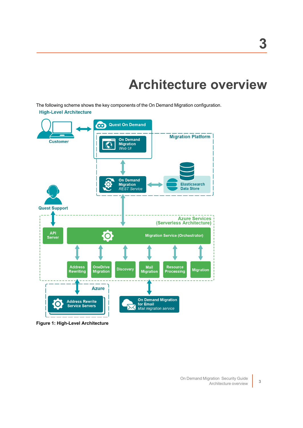### **Architecture overview**

<span id="page-5-0"></span>The following scheme shows the key components of the On Demand Migration configuration. **High-Level Architecture** 



**Figure 1: High-Level Architecture**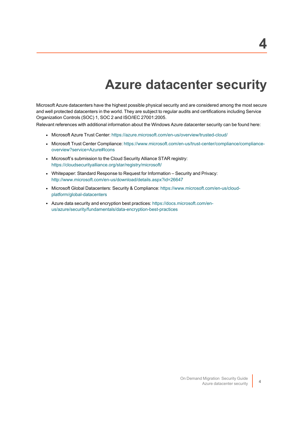### **Azure datacenter security**

<span id="page-6-0"></span>Microsoft Azure datacenters have the highest possible physical security and are considered among the most secure and well protected datacenters in the world. They are subject to regular audits and certifications including Service Organization Controls (SOC) 1, SOC 2 and ISO/IEC 27001:2005.

Relevant references with additional information about the Windows Azure datacenter security can be found here:

- Microsoft Azure Trust Center: <https://azure.microsoft.com/en-us/overview/trusted-cloud/>
- Microsoft Trust Center Compliance: [https://www.microsoft.com/en-us/trust-center/compliance/compliance](https://www.microsoft.com/en-us/trust-center/compliance/compliance-overview?service=Azure#Icons)[overview?service=Azure#Icons](https://www.microsoft.com/en-us/trust-center/compliance/compliance-overview?service=Azure#Icons)
- Microsoft's submission to the Cloud Security Alliance STAR registry: <https://cloudsecurityalliance.org/star/registry/microsoft/>
- Whitepaper: Standard Response to Request for Information Security and Privacy: <http://www.microsoft.com/en-us/download/details.aspx?id=26647>
- Microsoft Global Datacenters: Security & Compliance: [https://www.microsoft.com/en-us/cloud](https://www.microsoft.com/en-us/cloud-platform/global-datacenters)[platform/global-datacenters](https://www.microsoft.com/en-us/cloud-platform/global-datacenters)
- Azure data security and encryption best practices: [https://docs.microsoft.com/en](https://docs.microsoft.com/en-us/azure/security/fundamentals/data-encryption-best-practices)[us/azure/security/fundamentals/data-encryption-best-practices](https://docs.microsoft.com/en-us/azure/security/fundamentals/data-encryption-best-practices)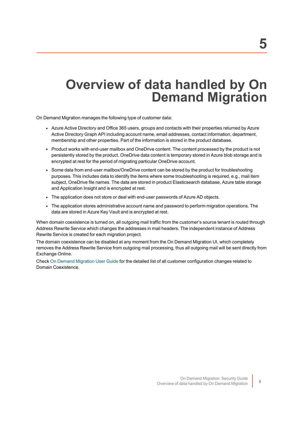### <span id="page-7-0"></span>**Overview of data handled by On Demand Migration**

On Demand Migration manages the following type of customer data:

- Azure Active Directory and Office 365 users, groups and contacts with their properties returned by Azure Active Directory Graph API including account name, email addresses, contact information, department, membership and other properties. Part of the information is stored in the product database.
- Product works with end-user mailbox and OneDrive content. The content processed by the product is not persistently stored by the product. OneDrive data content is temporary stored in Azure blob storage and is encrypted at rest for the period of migrating particular OneDrive account.
- Some data from end-user mailbox/OneDrive content can be stored by the product for troubleshooting purposes. This includes data to identify the items where some troubleshooting is required, e.g., mail item subject, OneDrive file names. The data are stored in product Elasticsearch database, Azure table storage and Application Insight and is encrypted at rest.
- The application does not store or deal with end-user passwords of Azure AD objects.
- The application stores administrative account name and password to perform migration operations. The data are stored in Azure Key Vault and is encrypted at rest.

When domain coexistence is turned on, all outgoing mail traffic from the customer's source tenant is routed through Address Rewrite Service which changes the addresses in mail headers. The independent instance of Address Rewrite Service is created for each migration project.

The domain coexistence can be disabled at any moment from the On Demand Migration UI, which completely removes the Address Rewrite Service from outgoing mail processing, thus all outgoing mail will be sent directly from Exchange Online.

Check On Demand [Migration](https://support.quest.com/technical-documents/on-demand-migration/administrator-guide/domain-coexistence/address-rewrite-service) User Guide for the detailed list of all customer configuration changes related to Domain Coexistence.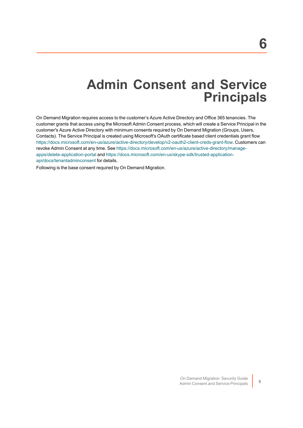### **Admin Consent and Service Principals**

<span id="page-8-0"></span>On Demand Migration requires access to the customer's Azure Active Directory and Office 365 tenancies. The customer grants that access using the Microsoft Admin Consent process, which will create a Service Principal in the customer's Azure Active Directory with minimum consents required by On Demand Migration (Groups, Users, Contacts). The Service Principal is created using Microsoft's OAuth certificate based client credentials grant flow <https://docs.microsoft.com/en-us/azure/active-directory/develop/v2-oauth2-client-creds-grant-flow>. Customers can revoke Admin Consent at any time. See [https://docs.microsoft.com/en-us/azure/active-directory/manage](https://docs.microsoft.com/en-us/azure/active-directory/manage-apps/delete-application-portal)[apps/delete-application-portal](https://docs.microsoft.com/en-us/azure/active-directory/manage-apps/delete-application-portal) and [https://docs.microsoft.com/en-us/skype-sdk/trusted-application](https://docs.microsoft.com/en-us/skype-sdk/trusted-application-api/docs/tenantadminconsent)[api/docs/tenantadminconsent](https://docs.microsoft.com/en-us/skype-sdk/trusted-application-api/docs/tenantadminconsent) for details.

Following is the base consent required by On Demand Migration.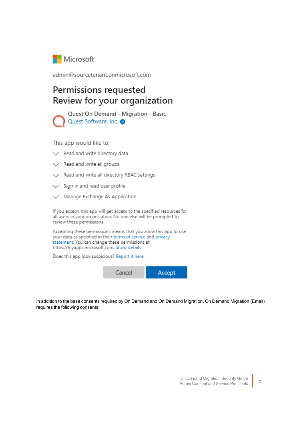

admin@sourcetenant.onmicrosoft.com

#### Permissions requested Review for your organization

Quest On Demand - Migration - Basic Quest Software, Inc.

This app would like to:

- $\vee$  Read and write directory data
- $\vee$  Read and write all groups
- Read and write all directory RBAC settings
- $\vee$  Sign in and read user profile
- $\vee$  Manage Exchange As Application

If you accept, this app will get access to the specified resources for all users in your organization. No one else will be prompted to review these permissions.

Accepting these permissions means that you allow this app to use your data as specified in their terms of service and privacy statement. You can change these permissions at https://myapps.microsoft.com. Show details

Does this app look suspicious? Report it here



In addition to the base consents required by On Demand and On Demand Migration, On Demand Migration (Email) requires the following consents: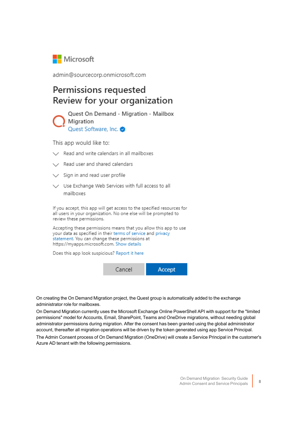

admin@sourcecorp.onmicrosoft.com

#### Permissions requested Review for your organization

Quest On Demand - Migration - Mailbox Migration Quest Software, Inc.

This app would like to:

- $\vee$  Read and write calendars in all mailboxes
- / Read user and shared calendars
- $\vee$  Sign in and read user profile
- V Use Exchange Web Services with full access to all mailboxes

If you accept, this app will get access to the specified resources for all users in your organization. No one else will be prompted to review these permissions.

Accepting these permissions means that you allow this app to use your data as specified in their terms of service and privacy statement. You can change these permissions at https://myapps.microsoft.com. Show details

Does this app look suspicious? Report it here



On creating the On Demand Migration project, the Quest group is automatically added to the exchange administrator role for mailboxes.

On Demand Migration currently uses the Microsoft Exchange Online PowerShell API with support for the "limited permissions" model for Accounts, Email, SharePoint, Teams and OneDrive migrations, without needing global administrator permissions during migration. After the consent has been granted using the global administrator account, thereafter all migration operations will be driven by the token generated using app Service Principal.

The Admin Consent process of On Demand Migration (OneDrive) will create a Service Principal in the customer's Azure AD tenant with the following permissions.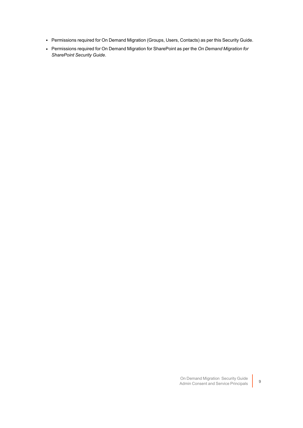- Permissions required for On Demand Migration (Groups, Users, Contacts) as per this Security Guide.
- <sup>l</sup> Permissions required for On Demand Migration for SharePoint as per the *On Demand Migration for SharePoint Security Guide*.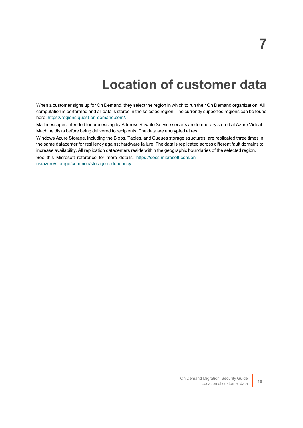### **Location of customer data**

<span id="page-12-0"></span>When a customer signs up for On Demand, they select the region in which to run their On Demand organization. All computation is performed and all data is stored in the selected region. The currently supported regions can be found here: [https://regions.quest-on-demand.com/.](https://regions.quest-on-demand.com/)

Mail messages intended for processing by Address Rewrite Service servers are temporary stored at Azure Virtual Machine disks before being delivered to recipients. The data are encrypted at rest.

Windows Azure Storage, including the Blobs, Tables, and Queues storage structures, are replicated three times in the same datacenter for resiliency against hardware failure. The data is replicated across different fault domains to increase availability. All replication datacenters reside within the geographic boundaries of the selected region.

See this Microsoft reference for more details: [https://docs.microsoft.com/en](https://docs.microsoft.com/en-us/azure/storage/common/storage-redundancy)[us/azure/storage/common/storage-redundancy](https://docs.microsoft.com/en-us/azure/storage/common/storage-redundancy)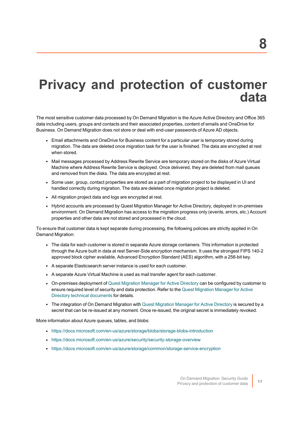### <span id="page-13-0"></span>**Privacy and protection of customer data**

The most sensitive customer data processed by On Demand Migration is the Azure Active Directory and Office 365 data including users, groups and contacts and their associated properties, content of emails and OneDrive for Business. On Demand Migration does not store or deal with end-user passwords of Azure AD objects.

- Email attachments and OneDrive for Business content for a particular user is temporary stored during migration. The data are deleted once migration task for the user is finished. The data are encrypted at rest when stored.
- Mail messages processed by Address Rewrite Service are temporary stored on the disks of Azure Virtual Machine where Address Rewrite Service is deployed. Once delivered, they are deleted from mail queues and removed from the disks. The data are encrypted at rest.
- Some user, group, contact properties are stored as a part of migration project to be displayed in UI and handled correctly during migration. The data are deleted once migration project is deleted.
- All migration project data and logs are encrypted at rest.
- Hybrid accounts are processed by Quest Migration Manager for Active Directory, deployed in on-premises environment. On Demand Migration has access to the migration progress only (events, errors, etc.) Account properties and other data are not stored and processed in the cloud.

To ensure that customer data is kept separate during processing, the following policies are strictly applied in On Demand Migration:

- The data for each customer is stored in separate Azure storage containers. This information is protected through the Azure built in data at rest Server-Side encryption mechanism. It uses the strongest FIPS 140-2 approved block cipher available, Advanced Encryption Standard (AES) algorithm, with a 256-bit key.
- A separate Elasticsearch server instance is used for each customer.
- A separate Azure Virtual Machine is used as mail transfer agent for each customer.
- On-premises deployment of Quest [Migration](https://www.quest.com/products/migration-manager-for-active-directory/) Manager for Active Directory can be configured by customer to ensure required level of security and data protection. Refer to the Quest [Migration](https://support.quest.com/migration-manager-for-ad/technical-documents) Manager for Active Directory technical [documents](https://support.quest.com/migration-manager-for-ad/technical-documents) for details.
- The integration of On Demand [Migration](https://www.quest.com/products/migration-manager-for-active-directory/) with Quest Migration Manager for Active Directory is secured by a secret that can be re-issued at any moment. Once re-issued, the original secret is immediately revoked.

More information about Azure queues, tables, and blobs:

- <https://docs.microsoft.com/en-us/azure/storage/blobs/storage-blobs-introduction>
- <https://docs.microsoft.com/en-us/azure/security/security-storage-overview>
- <https://docs.microsoft.com/en-us/azure/storage/common/storage-service-encryption>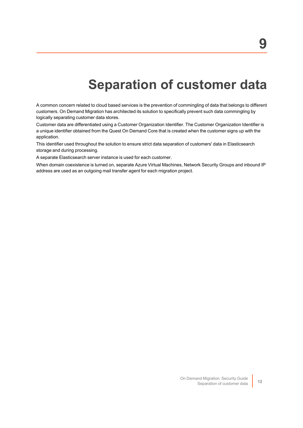### **Separation of customer data**

<span id="page-14-0"></span>A common concern related to cloud based services is the prevention of commingling of data that belongs to different customers. On Demand Migration has architected its solution to specifically prevent such data commingling by logically separating customer data stores.

Customer data are differentiated using a Customer Organization Identifier. The Customer Organization Identifier is a unique identifier obtained from the Quest On Demand Core that is created when the customer signs up with the application.

This identifier used throughout the solution to ensure strict data separation of customers' data in Elasticsearch storage and during processing.

A separate Elasticsearch server instance is used for each customer.

When domain coexistence is turned on, separate Azure Virtual Machines, Network Security Groups and inbound IP address are used as an outgoing mail transfer agent for each migration project.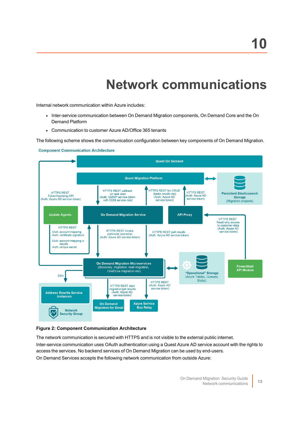## **Network communications**

<span id="page-15-0"></span>Internal network communication within Azure includes:

- Inter-service communication between On Demand Migration components, On Demand Core and the On Demand Platform
- Communication to customer Azure AD/Office 365 tenants

The following scheme shows the communication configuration between key components of On Demand Migration.

**Component Communication Architecture** 



#### **Figure 2: Component Communication Architecture**

The network communication is secured with HTTPS and is not visible to the external public internet. Inter-service communication uses OAuth authentication using a Quest Azure AD service account with the rights to access the services. No backend services of On Demand Migration can be used by end-users. On Demand Services accepts the following network communication from outside Azure: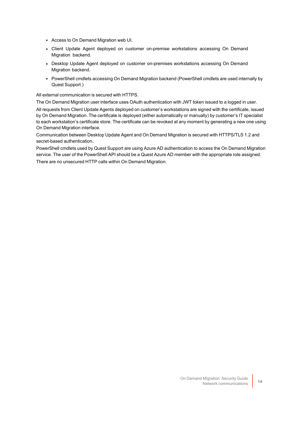- Access to On Demand Migration web UI.
- Client Update Agent deployed on customer on-premise workstations accessing On Demand Migration backend.
- Desktop Update Agent deployed on customer on-premises workstations accessing On Demand Migration backend.
- PowerShell cmdlets accessing On Demand Migration backend (PowerShell cmdlets are used internally by Quest Support.)

All external communication is secured with HTTPS.

The On Demand Migration user interface uses OAuth authentication with JWT token issued to a logged in user.

All requests from Client Update Agents deployed on customer's workstations are signed with the certificate, issued by On Demand Migration. The certificate is deployed (either automatically or manually) by customer's IT specialist to each workstation's certificate store. The certificate can be revoked at any moment by generating a new one using On Demand Migration interface.

Communication between Desktop Update Agent and On Demand Migration is secured with HTTPS/TLS 1.2 and secret-based authentication.

PowerShell cmdlets used by Quest Support are using Azure AD authentication to access the On Demand Migration service. The user of the PowerShell API should be a Quest Azure AD member with the appropriate role assigned. There are no unsecured HTTP calls within On Demand Migration.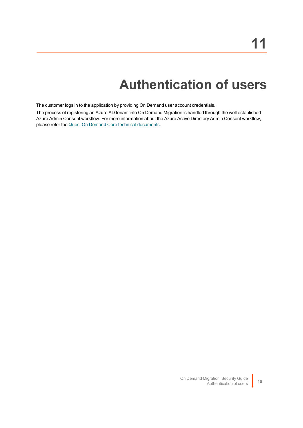## **Authentication of users**

<span id="page-17-0"></span>The customer logs in to the application by providing On Demand user account credentials.

The process of registering an Azure AD tenant into On Demand Migration is handled through the well established Azure Admin Consent workflow. For more information about the Azure Active Directory Admin Consent workflow, please refer the Quest On Demand Core technical [documents.](https://support.quest.com/technical-documents/on-demand-global-settings/current/user-guide/13#TOPIC-1567780)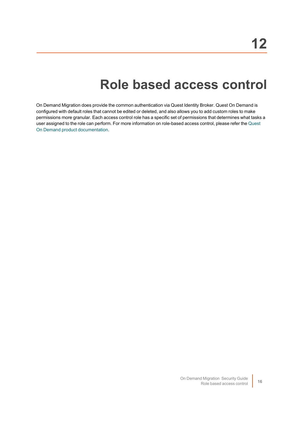### **Role based access control**

<span id="page-18-0"></span>On Demand Migration does provide the common authentication via Quest Identity Broker. Quest On Demand is configured with default roles that cannot be edited or deleted, and also allows you to add custom roles to make permissions more granular. Each access control role has a specific set of permissions that determines what tasks a user assigned to the role can perform. For more information on role-based access control, please refer the [Quest](https://support.quest.com/technical-documents/on-demand-global-settings/user-guide/adding-users-to-an-organization/adding-users-and-assigning-a-role) On Demand product [documentation](https://support.quest.com/technical-documents/on-demand-global-settings/user-guide/adding-users-to-an-organization/adding-users-and-assigning-a-role).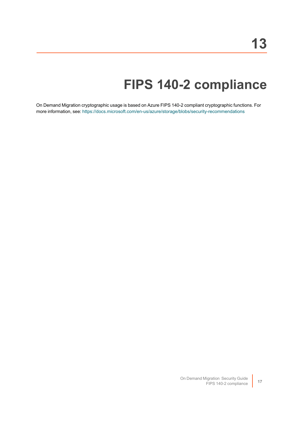## **FIPS 140-2 compliance**

<span id="page-19-0"></span>On Demand Migration cryptographic usage is based on Azure FIPS 140-2 compliant cryptographic functions. For more information, see: <https://docs.microsoft.com/en-us/azure/storage/blobs/security-recommendations>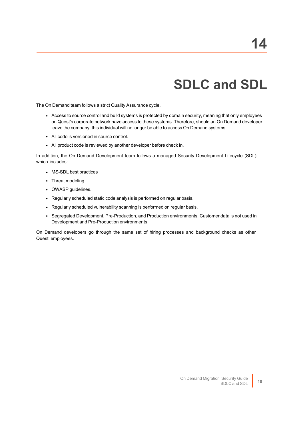# **SDLC and SDL**

<span id="page-20-0"></span>The On Demand team follows a strict Quality Assurance cycle.

- Access to source control and build systems is protected by domain security, meaning that only employees on Quest's corporate network have access to these systems. Therefore, should an On Demand developer leave the company, this individual will no longer be able to access On Demand systems.
- All code is versioned in source control.
- All product code is reviewed by another developer before check in.

In addition, the On Demand Development team follows a managed Security Development Lifecycle (SDL) which includes:

- MS-SDL best practices
- Threat modeling.
- OWASP guidelines.
- Regularly scheduled static code analysis is performed on regular basis.
- Regularly scheduled vulnerability scanning is performed on regular basis.
- Segregated Development, Pre-Production, and Production environments. Customer data is not used in Development and Pre-Production environments.

On Demand developers go through the same set of hiring processes and background checks as other Quest employees.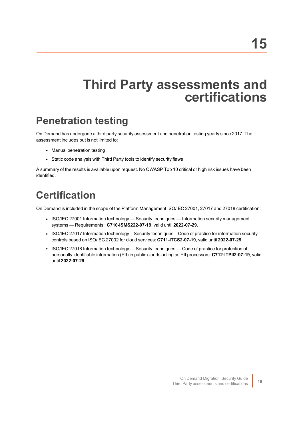### <span id="page-21-0"></span>**Third Party assessments and certifications**

#### <span id="page-21-1"></span>**Penetration testing**

On Demand has undergone a third party security assessment and penetration testing yearly since 2017. The assessment includes but is not limited to:

- Manual penetration testing
- Static code analysis with Third Party tools to identify security flaws

A summary of the results is available upon request. No OWASP Top 10 critical or high risk issues have been identified.

#### <span id="page-21-2"></span>**Certification**

On Demand is included in the scope of the Platform Management ISO/IEC 27001, 27017 and 27018 certification:

- ISO/IEC 27001 Information technology Security techniques Information security management systems — Requirements : **C710-ISMS222-07-19**, valid until **2022-07-29**.
- ISO/IEC 27017 Information technology Security techniques Code of practice for information security controls based on ISO/IEC 27002 for cloud services: **C711-ITCS2-07-19**, valid until **2022-07-29**.
- ISO/IEC 27018 Information technology Security techniques Code of practice for protection of personally identifiable information (PII) in public clouds acting as PII processors: **C712-ITPII2-07-19**, valid until **2022-07-29**.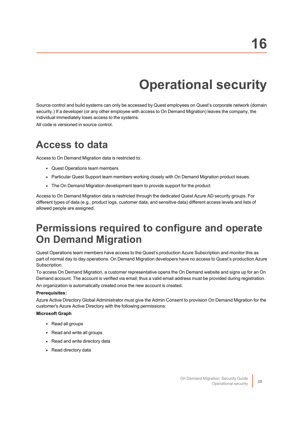# **Operational security**

<span id="page-22-0"></span>Source control and build systems can only be accessed by Quest employees on Quest's corporate network (domain security.) If a developer (or any other employee with access to On Demand Migration) leaves the company, the individual immediately loses access to the systems.

<span id="page-22-1"></span>All code is versioned in source control.

#### **Access to data**

Access to On Demand Migration data is restricted to:

- Quest Operations team members
- Particular Quest Support team members working closely with On Demand Migration product issues.
- The On Demand Migration development team to provide support for the product

Access to On Demand Migration data is restricted through the dedicated Quest Azure AD security groups. For different types of data (e.g., product logs, customer data, and sensitive data) different access levels and lists of allowed people are assigned.

#### <span id="page-22-2"></span>**Permissions required to configure and operate On Demand Migration**

Quest Operations team members have access to the Quest's production Azure Subscription and monitor this as part of normal day to day operations. On Demand Migration developers have no access to Quest's production Azure Subscription.

To access On Demand Migration, a customer representative opens the On Demand website and signs up for an On Demand account. The account is verified via email; thus a valid email address must be provided during registration.

An organization is automatically created once the new account is created.

#### **Prerequisites:**

Azure Active Directory Global Administrator must give the Admin Consent to provision On Demand Migration for the customer's Azure Active Directory with the following permissions:

#### **Microsoft Graph**

- Read all groups
- Read and write all groups
- Read and write directory data
- Read directory data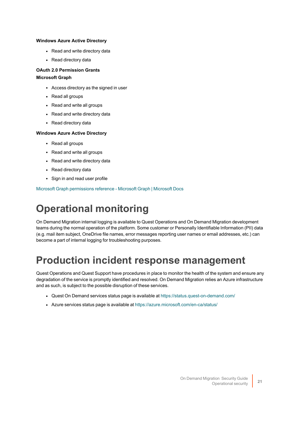#### **Windows Azure Active Directory**

- Read and write directory data
- Read directory data

#### **OAuth 2.0 Permission Grants Microsoft Graph**

- Access directory as the signed in user
- Read all groups
- $\cdot$  Read and write all groups
- Read and write directory data
- Read directory data

#### **Windows Azure Active Directory**

- Read all groups
- Read and write all groups
- Read and write directory data
- Read directory data
- Sign in and read user profile

<span id="page-23-0"></span>Microsoft Graph [permissions](https://docs.microsoft.com/en-us/graph/permissions-reference) reference - Microsoft Graph | Microsoft Docs

#### **Operational monitoring**

On Demand Migration internal logging is available to Quest Operations and On Demand Migration development teams during the normal operation of the platform. Some customer or Personally Identifiable Information (PII) data (e.g. mail item subject, OneDrive file names, error messages reporting user names or email addresses, etc.) can become a part of internal logging for troubleshooting purposes.

#### <span id="page-23-1"></span>**Production incident response management**

Quest Operations and Quest Support have procedures in place to monitor the health of the system and ensure any degradation of the service is promptly identified and resolved. On Demand Migration relies an Azure infrastructure and as such, is subject to the possible disruption of these services.

- Quest On Demand services status page is available at <https://status.quest-on-demand.com/>
- Azure services status page is available at <https://azure.microsoft.com/en-ca/status/>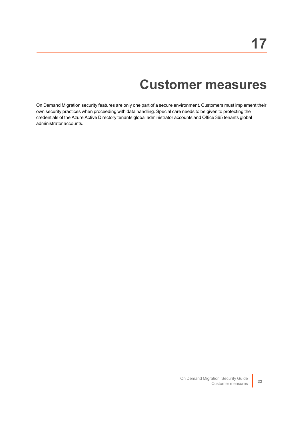### **Customer measures**

<span id="page-24-0"></span>On Demand Migration security features are only one part of a secure environment. Customers must implement their own security practices when proceeding with data handling. Special care needs to be given to protecting the credentials of the Azure Active Directory tenants global administrator accounts and Office 365 tenants global administrator accounts.